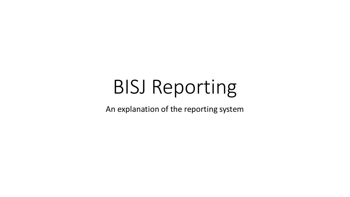# BISJ Reporting

An explanation of the reporting system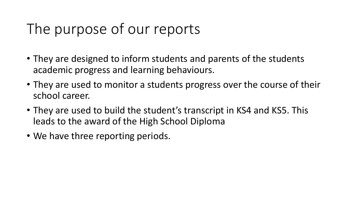## The purpose of our reports

- They are designed to inform students and parents of the students academic progress and learning behaviours.
- They are used to monitor a students progress over the course of their school career.
- They are used to build the student's transcript in KS4 and KS5. This leads to the award of the High School Diploma
- We have three reporting periods.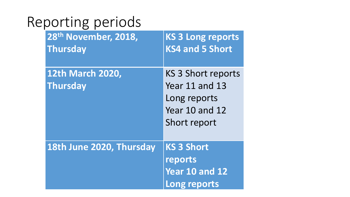| Reporting periods                |                           |
|----------------------------------|---------------------------|
| 28 <sup>th</sup> November, 2018, | <b>KS 3 Long reports</b>  |
| <b>Thursday</b>                  | <b>KS4 and 5 Short</b>    |
| <b>12th March 2020,</b>          | <b>KS 3 Short reports</b> |
| <b>Thursday</b>                  | Year 11 and 13            |
|                                  | Long reports              |
|                                  | Year 10 and 12            |
|                                  | Short report              |
|                                  |                           |
| 18th June 2020, Thursday         | <b>KS 3 Short</b>         |
|                                  | reports                   |
|                                  | <b>Year 10 and 12</b>     |
|                                  | Long reports              |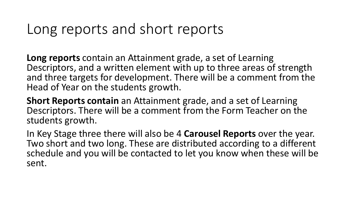#### Long reports and short reports

**Long reports** contain an Attainment grade, a set of Learning Descriptors, and a written element with up to three areas of strength and three targets for development. There will be a comment from the Head of Year on the students growth.

**Short Reports contain** an Attainment grade, and a set of Learning Descriptors. There will be a comment from the Form Teacher on the students growth.

In Key Stage three there will also be 4 **Carousel Reports** over the year. Two short and two long. These are distributed according to a different schedule and you will be contacted to let you know when these will be sent.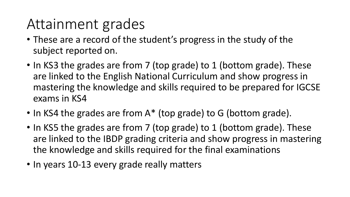## Attainment grades

- These are a record of the student's progress in the study of the subject reported on.
- In KS3 the grades are from 7 (top grade) to 1 (bottom grade). These are linked to the English National Curriculum and show progress in mastering the knowledge and skills required to be prepared for IGCSE exams in KS4
- In KS4 the grades are from A\* (top grade) to G (bottom grade).
- In KS5 the grades are from 7 (top grade) to 1 (bottom grade). These are linked to the IBDP grading criteria and show progress in mastering the knowledge and skills required for the final examinations
- In years 10-13 every grade really matters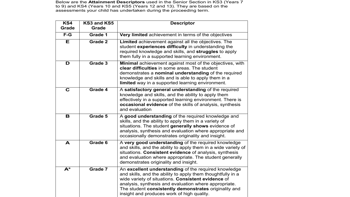Below are the **Attainment Descriptors** used in the Senior Section in KS3 (Years 7 to 9) and KS4 (Years 10 and KS5 (Years 12 and 13). They are based on the ass $\acute{\text e}$ ssments your child has undertaken during the proceeding term.

| KS4<br><b>Grade</b> | KS3 and KS5<br><b>Grade</b> | <b>Descriptor</b>                                                                                                                                                                                                                                                                                                                         |
|---------------------|-----------------------------|-------------------------------------------------------------------------------------------------------------------------------------------------------------------------------------------------------------------------------------------------------------------------------------------------------------------------------------------|
| $F-G$               | Grade 1                     | Very limited achievement in terms of the objectives                                                                                                                                                                                                                                                                                       |
| E                   | Grade 2                     | Limited achievement against all the objectives. The<br>student experiences difficulty in understanding the<br>required knowledge and skills, and struggles to apply<br>them fully in a supported learning environment.                                                                                                                    |
| D                   | Grade 3                     | Minimal achievement against most of the objectives, with<br>clear difficulties in some areas. The student<br>demonstrates a nominal understanding of the required<br>knowledge and skills and is able to apply them in a<br>limited way in a supported learning environment.                                                              |
| $\mathbf C$         | Grade 4                     | A satisfactory general understanding of the required<br>knowledge and skills, and the ability to apply them<br>effectively in a supported learning environment. There is<br>occasional evidence of the skills of analysis, synthesis<br>and evaluation                                                                                    |
| B                   | Grade 5                     | A good understanding of the required knowledge and<br>skills, and the ability to apply them in a variety of<br>situations. The student generally shows evidence of<br>analysis, synthesis and evaluation where appropriate and<br>occasionally demonstrates originality and insight.                                                      |
| A                   | Grade 6                     | A very good understanding of the required knowledge<br>and skills, and the ability to apply them in a wide variety of<br>situations. Consistent evidence of analysis, synthesis<br>and evaluation where appropriate. The student generally<br>demonstrates originality and insight.                                                       |
| $A^*$               | Grade 7                     | An excellent understanding of the required knowledge<br>and skills, and the ability to apply them thoughtfully in a<br>wide variety of situations. Consistent evidence of<br>analysis, synthesis and evaluation where appropriate.<br>The student consistently demonstrates originality and<br>insight and produces work of high quality. |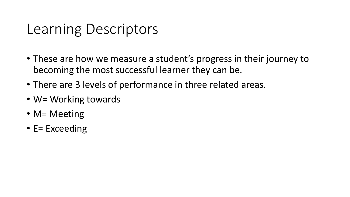#### Learning Descriptors

- These are how we measure a student's progress in their journey to becoming the most successful learner they can be.
- There are 3 levels of performance in three related areas.
- W= Working towards
- M= Meeting
- E= Exceeding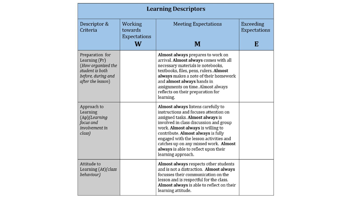| <b>Learning Descriptors</b>                                                                                          |                                           |                                                                                                                                                                                                                                                                                                                                                                                       |                                  |  |  |
|----------------------------------------------------------------------------------------------------------------------|-------------------------------------------|---------------------------------------------------------------------------------------------------------------------------------------------------------------------------------------------------------------------------------------------------------------------------------------------------------------------------------------------------------------------------------------|----------------------------------|--|--|
| Descriptor &<br>Criteria                                                                                             | Working<br>towards<br><b>Expectations</b> | <b>Meeting Expectations</b>                                                                                                                                                                                                                                                                                                                                                           | Exceeding<br><b>Expectations</b> |  |  |
|                                                                                                                      | W                                         | M                                                                                                                                                                                                                                                                                                                                                                                     | E                                |  |  |
| Preparation for<br>Learning (Pr)<br>(How organised the<br>student is both<br>before, during and<br>after the lesson) |                                           | Almost always prepares to work on<br>arrival. Almost always comes with all<br>necessary materials ie notebooks,<br>textbooks, files, pens, rulers. Almost<br>always makes a note of their homework<br>and almost always hands in<br>assignments on time. Almost always<br>reflects on their preparation for<br>learning.                                                              |                                  |  |  |
| Approach to<br>Learning<br>$(Ap)$ (Learning<br>focus and<br>involvement in<br>class)                                 |                                           | Almost always listens carefully to<br>instructions and focuses attention on<br>assigned tasks. Almost always is<br>involved in class discussion and group<br>work. Almost always is willing to<br>contribute. Almost always is fully<br>engaged with the lesson activities and<br>catches up on any missed work. Almost<br>always is able to reflect upon their<br>learning approach. |                                  |  |  |
| Attitude to<br>Learning (At) (class<br>behaviour)                                                                    |                                           | Almost always respects other students<br>and is not a distraction. Almost always<br>focusses their communication on the<br>lesson and is respectful for the class.<br>Almost always is able to reflect on their<br>learning attitude.                                                                                                                                                 |                                  |  |  |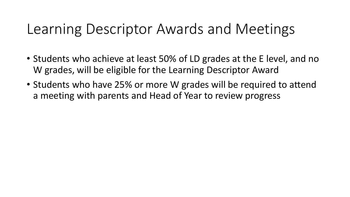#### Learning Descriptor Awards and Meetings

- Students who achieve at least 50% of LD grades at the E level, and no W grades, will be eligible for the Learning Descriptor Award
- Students who have 25% or more W grades will be required to attend a meeting with parents and Head of Year to review progress